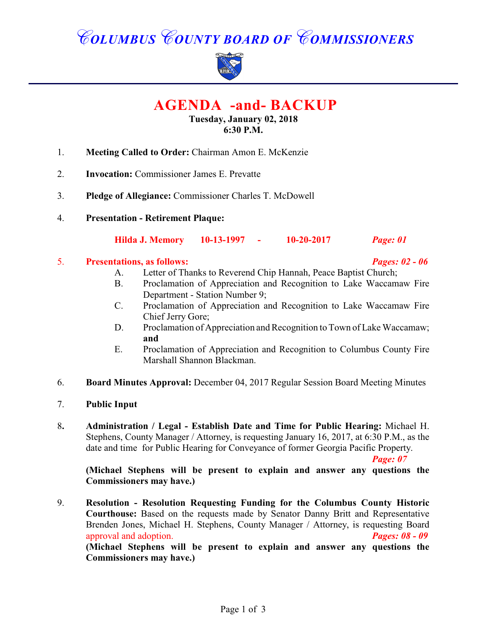# *COLUMBUS COUNTY BOARD OF COMMISSIONERS*



 **AGENDA -and- BACKUP**

#### **Tuesday, January 02, 2018 6:30 P.M.**

- 1. **Meeting Called to Order:** Chairman Amon E. McKenzie
- 2. **Invocation:** Commissioner James E. Prevatte
- 3. **Pledge of Allegiance:** Commissioner Charles T. McDowell
- 4. **Presentation Retirement Plaque:**

**Hilda J. Memory 10-13-1997 - 10-20-2017** *Page: 01*

#### 5. **Presentations, as follows:** *Pages: 02 - 06*

- 
- A. Letter of Thanks to Reverend Chip Hannah, Peace Baptist Church;
- B. Proclamation of Appreciation and Recognition to Lake Waccamaw Fire Department - Station Number 9;
- C. Proclamation of Appreciation and Recognition to Lake Waccamaw Fire Chief Jerry Gore;
- D. Proclamation of Appreciation and Recognition to Town of Lake Waccamaw; **and**
- E. Proclamation of Appreciation and Recognition to Columbus County Fire Marshall Shannon Blackman.
- 6. **Board Minutes Approval:** December 04, 2017 Regular Session Board Meeting Minutes
- 7. **Public Input**
- 8**. Administration / Legal Establish Date and Time for Public Hearing:** Michael H. Stephens, County Manager / Attorney, is requesting January 16, 2017, at 6:30 P.M., as the date and time for Public Hearing for Conveyance of former Georgia Pacific Property.

*Page: 07*

**(Michael Stephens will be present to explain and answer any questions the Commissioners may have.)**

9. **Resolution - Resolution Requesting Funding for the Columbus County Historic Courthouse:** Based on the requests made by Senator Danny Britt and Representative Brenden Jones, Michael H. Stephens, County Manager / Attorney, is requesting Board approval and adoption. *Pages: 08 - 09* **(Michael Stephens will be present to explain and answer any questions the Commissioners may have.)**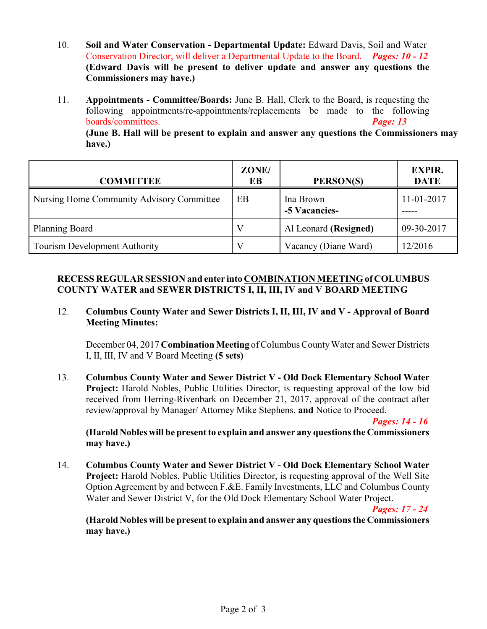- 10. **Soil and Water Conservation Departmental Update:** Edward Davis, Soil and Water Conservation Director, will deliver a Departmental Update to the Board. *Pages: 10 - 12* **(Edward Davis will be present to deliver update and answer any questions the Commissioners may have.)**
- 11. **Appointments Committee/Boards:** June B. Hall, Clerk to the Board, is requesting the following appointments/re-appointments/replacements be made to the following boards/committees. *Page: 13*

**(June B. Hall will be present to explain and answer any questions the Commissioners may have.)**

| <b>COMMITTEE</b>                          | ZONE/<br>EВ | PERSON(S)                  | <b>EXPIR.</b><br><b>DATE</b> |
|-------------------------------------------|-------------|----------------------------|------------------------------|
| Nursing Home Community Advisory Committee | EB          | Ina Brown<br>-5 Vacancies- | 11-01-2017                   |
| <b>Planning Board</b>                     |             | Al Leonard (Resigned)      | 09-30-2017                   |
| Tourism Development Authority             |             | Vacancy (Diane Ward)       | 12/2016                      |

#### **RECESS REGULAR SESSION and enter into COMBINATION MEETING of COLUMBUS COUNTY WATER and SEWER DISTRICTS I, II, III, IV and V BOARD MEETING**

12. **Columbus County Water and Sewer Districts I, II, III, IV and V - Approval of Board Meeting Minutes:**

December 04, 2017 **Combination Meeting** of Columbus County Water and Sewer Districts I, II, III, IV and V Board Meeting **(5 sets)**

13. **Columbus County Water and Sewer District V - Old Dock Elementary School Water Project:** Harold Nobles, Public Utilities Director, is requesting approval of the low bid received from Herring-Rivenbark on December 21, 2017, approval of the contract after review/approval by Manager/ Attorney Mike Stephens, **and** Notice to Proceed.

*Pages: 14 - 16*

**(Harold Nobles will be present to explain and answer any questions the Commissioners may have.)**

14. **Columbus County Water and Sewer District V - Old Dock Elementary School Water Project:** Harold Nobles, Public Utilities Director, is requesting approval of the Well Site Option Agreement by and between F.&E. Family Investments, LLC and Columbus County Water and Sewer District V, for the Old Dock Elementary School Water Project.

*Pages: 17 - 24*

**(Harold Nobles will be present to explain and answer any questions the Commissioners may have.)**